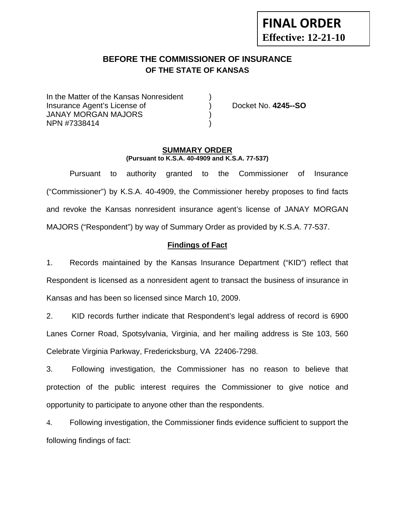# **FINAL ORDER Effective: 12-21-10**

## **BEFORE THE COMMISSIONER OF INSURANCE OF THE STATE OF KANSAS**

In the Matter of the Kansas Nonresident Insurance Agent's License of ) Docket No. **4245--SO** JANAY MORGAN MAJORS ) NPN #7338414 )

#### **SUMMARY ORDER (Pursuant to K.S.A. 40-4909 and K.S.A. 77-537)**

 Pursuant to authority granted to the Commissioner of Insurance ("Commissioner") by K.S.A. 40-4909, the Commissioner hereby proposes to find facts and revoke the Kansas nonresident insurance agent's license of JANAY MORGAN MAJORS ("Respondent") by way of Summary Order as provided by K.S.A. 77-537.

## **Findings of Fact**

1. Records maintained by the Kansas Insurance Department ("KID") reflect that Respondent is licensed as a nonresident agent to transact the business of insurance in Kansas and has been so licensed since March 10, 2009.

2. KID records further indicate that Respondent's legal address of record is 6900 Lanes Corner Road, Spotsylvania, Virginia, and her mailing address is Ste 103, 560 Celebrate Virginia Parkway, Fredericksburg, VA 22406-7298.

3. Following investigation, the Commissioner has no reason to believe that protection of the public interest requires the Commissioner to give notice and opportunity to participate to anyone other than the respondents.

4. Following investigation, the Commissioner finds evidence sufficient to support the following findings of fact: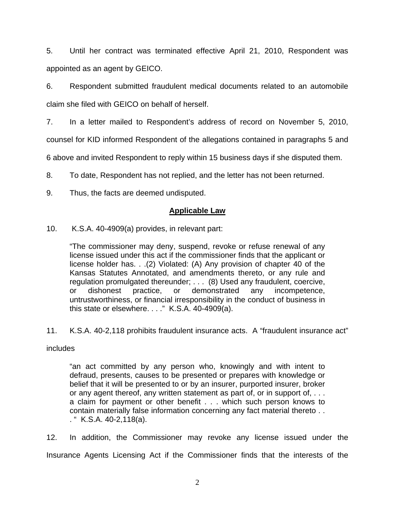5. Until her contract was terminated effective April 21, 2010, Respondent was appointed as an agent by GEICO.

6. Respondent submitted fraudulent medical documents related to an automobile claim she filed with GEICO on behalf of herself.

7. In a letter mailed to Respondent's address of record on November 5, 2010,

counsel for KID informed Respondent of the allegations contained in paragraphs 5 and

6 above and invited Respondent to reply within 15 business days if she disputed them.

8. To date, Respondent has not replied, and the letter has not been returned.

9. Thus, the facts are deemed undisputed.

## **Applicable Law**

10. K.S.A. 40-4909(a) provides, in relevant part:

"The commissioner may deny, suspend, revoke or refuse renewal of any license issued under this act if the commissioner finds that the applicant or license holder has. . .(2) Violated: (A) Any provision of chapter 40 of the Kansas Statutes Annotated, and amendments thereto, or any rule and regulation promulgated thereunder; . . . (8) Used any fraudulent, coercive, or dishonest practice, or demonstrated any incompetence, untrustworthiness, or financial irresponsibility in the conduct of business in this state or elsewhere. . . ." K.S.A. 40-4909(a).

11. K.S.A. 40-2,118 prohibits fraudulent insurance acts. A "fraudulent insurance act"

## includes

"an act committed by any person who, knowingly and with intent to defraud, presents, causes to be presented or prepares with knowledge or belief that it will be presented to or by an insurer, purported insurer, broker or any agent thereof, any written statement as part of, or in support of, . . . a claim for payment or other benefit . . . which such person knows to contain materially false information concerning any fact material thereto . . . " K.S.A. 40-2,118(a).

12. In addition, the Commissioner may revoke any license issued under the Insurance Agents Licensing Act if the Commissioner finds that the interests of the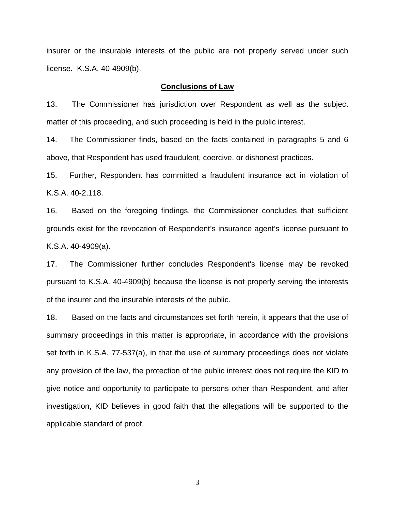insurer or the insurable interests of the public are not properly served under such license. K.S.A. 40-4909(b).

#### **Conclusions of Law**

13. The Commissioner has jurisdiction over Respondent as well as the subject matter of this proceeding, and such proceeding is held in the public interest.

14. The Commissioner finds, based on the facts contained in paragraphs 5 and 6 above, that Respondent has used fraudulent, coercive, or dishonest practices.

15. Further, Respondent has committed a fraudulent insurance act in violation of K.S.A. 40-2,118.

16. Based on the foregoing findings, the Commissioner concludes that sufficient grounds exist for the revocation of Respondent's insurance agent's license pursuant to K.S.A. 40-4909(a).

17. The Commissioner further concludes Respondent's license may be revoked pursuant to K.S.A. 40-4909(b) because the license is not properly serving the interests of the insurer and the insurable interests of the public.

18. Based on the facts and circumstances set forth herein, it appears that the use of summary proceedings in this matter is appropriate, in accordance with the provisions set forth in K.S.A. 77-537(a), in that the use of summary proceedings does not violate any provision of the law, the protection of the public interest does not require the KID to give notice and opportunity to participate to persons other than Respondent, and after investigation, KID believes in good faith that the allegations will be supported to the applicable standard of proof.

3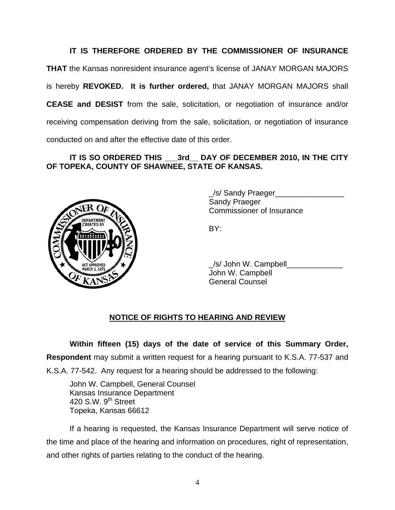## **IT IS THEREFORE ORDERED BY THE COMMISSIONER OF INSURANCE**

**THAT** the Kansas nonresident insurance agent's license of JANAY MORGAN MAJORS is hereby **REVOKED. It is further ordered,** that JANAY MORGAN MAJORS shall **CEASE and DESIST** from the sale, solicitation, or negotiation of insurance and/or receiving compensation deriving from the sale, solicitation, or negotiation of insurance conducted on and after the effective date of this order.

## **IT IS SO ORDERED THIS \_\_\_3rd\_\_ DAY OF DECEMBER 2010, IN THE CITY OF TOPEKA, COUNTY OF SHAWNEE, STATE OF KANSAS.**



 \_/s/ Sandy Praeger\_\_\_\_\_\_\_\_\_\_\_\_\_\_\_\_ Sandy Praeger Commissioner of Insurance

/s/ John W. Campbell John W. Campbell General Counsel

## **NOTICE OF RIGHTS TO HEARING AND REVIEW**

**Within fifteen (15) days of the date of service of this Summary Order, Respondent** may submit a written request for a hearing pursuant to K.S.A. 77-537 and K.S.A. 77-542. Any request for a hearing should be addressed to the following:

 John W. Campbell, General Counsel Kansas Insurance Department 420 S.W. 9<sup>th</sup> Street Topeka, Kansas 66612

If a hearing is requested, the Kansas Insurance Department will serve notice of the time and place of the hearing and information on procedures, right of representation, and other rights of parties relating to the conduct of the hearing.